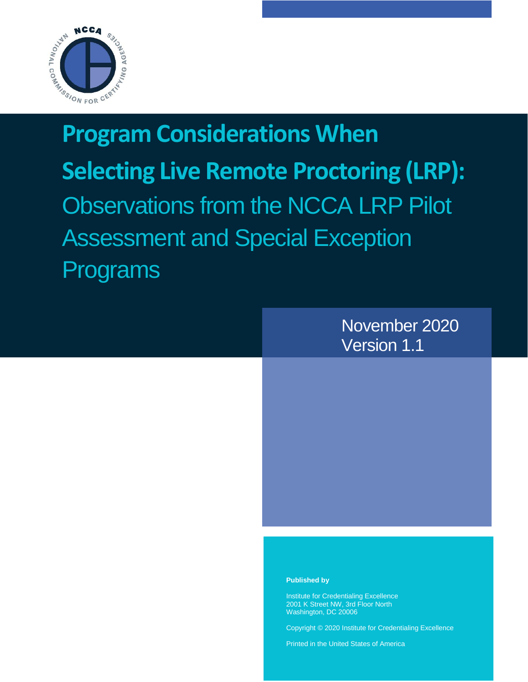

# **Program Considerations When Selecting Live Remote Proctoring (LRP):** Observations from the NCCA LRP Pilot Assessment and Special Exception Programs



#### **Published by**

Institute for Credentialing Excellence 2001 K Street NW, 3rd Floor North Washington, DC 20006

Copyright © 2020 Institute for Credentialing Excellence

Printed in the United States of America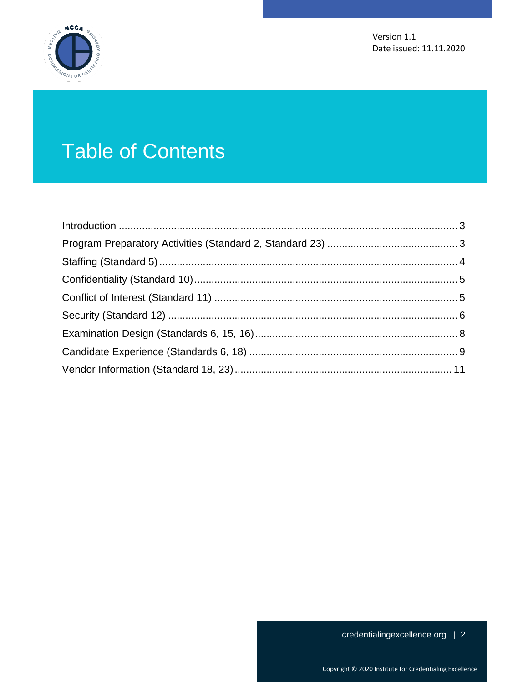

# Table of Contents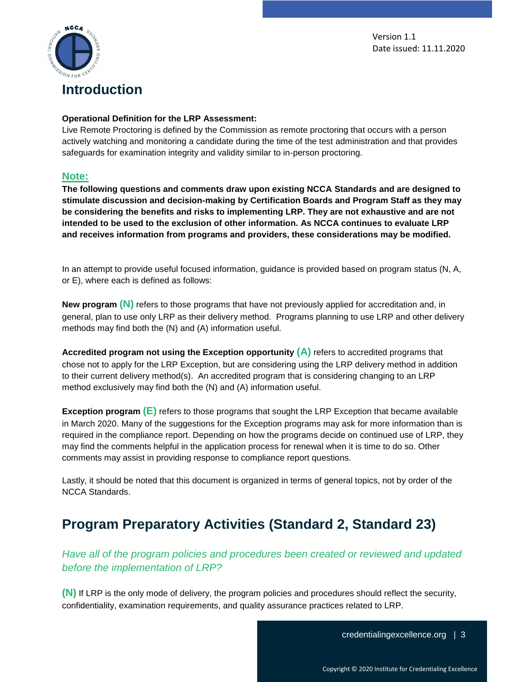

#### <span id="page-2-0"></span>**Operational Definition for the LRP Assessment:**

Live Remote Proctoring is defined by the Commission as remote proctoring that occurs with a person actively watching and monitoring a candidate during the time of the test administration and that provides safeguards for examination integrity and validity similar to in-person proctoring.

#### **Note:**

**The following questions and comments draw upon existing NCCA Standards and are designed to stimulate discussion and decision-making by Certification Boards and Program Staff as they may be considering the benefits and risks to implementing LRP. They are not exhaustive and are not intended to be used to the exclusion of other information. As NCCA continues to evaluate LRP and receives information from programs and providers, these considerations may be modified.**

In an attempt to provide useful focused information, guidance is provided based on program status (N, A, or E), where each is defined as follows:

**New program (N)** refers to those programs that have not previously applied for accreditation and, in general, plan to use only LRP as their delivery method. Programs planning to use LRP and other delivery methods may find both the (N) and (A) information useful.

**Accredited program not using the Exception opportunity (A)** refers to accredited programs that chose not to apply for the LRP Exception, but are considering using the LRP delivery method in addition to their current delivery method(s). An accredited program that is considering changing to an LRP method exclusively may find both the (N) and (A) information useful.

**Exception program <b>(E)** refers to those programs that sought the LRP Exception that became available in March 2020. Many of the suggestions for the Exception programs may ask for more information than is required in the compliance report. Depending on how the programs decide on continued use of LRP, they may find the comments helpful in the application process for renewal when it is time to do so. Other comments may assist in providing response to compliance report questions.

Lastly, it should be noted that this document is organized in terms of general topics, not by order of the NCCA Standards.

# <span id="page-2-1"></span>**Program Preparatory Activities (Standard 2, Standard 23)**

*Have all of the program policies and procedures been created or reviewed and updated before the implementation of LRP?*

**(N)** If LRP is the only mode of delivery, the program policies and procedures should reflect the security, confidentiality, examination requirements, and quality assurance practices related to LRP.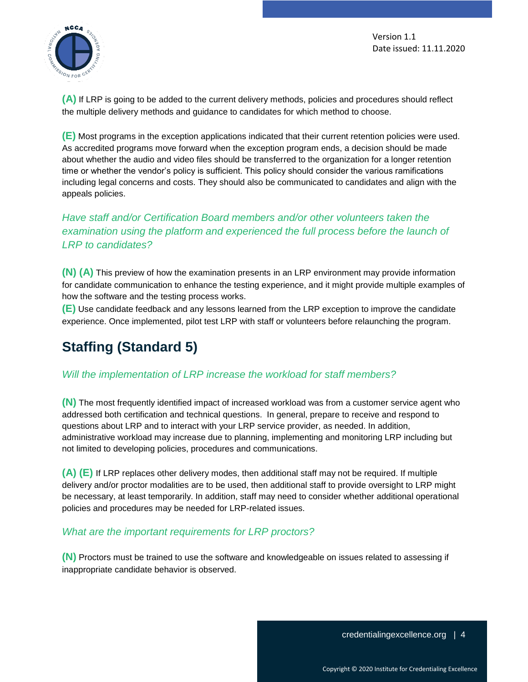

**(A)** If LRP is going to be added to the current delivery methods, policies and procedures should reflect the multiple delivery methods and guidance to candidates for which method to choose.

**(E)** Most programs in the exception applications indicated that their current retention policies were used. As accredited programs move forward when the exception program ends, a decision should be made about whether the audio and video files should be transferred to the organization for a longer retention time or whether the vendor's policy is sufficient. This policy should consider the various ramifications including legal concerns and costs. They should also be communicated to candidates and align with the appeals policies.

# *Have staff and/or Certification Board members and/or other volunteers taken the examination using the platform and experienced the full process before the launch of LRP to candidates?*

**(N) (A)** This preview of how the examination presents in an LRP environment may provide information for candidate communication to enhance the testing experience, and it might provide multiple examples of how the software and the testing process works.

**(E)** Use candidate feedback and any lessons learned from the LRP exception to improve the candidate experience. Once implemented, pilot test LRP with staff or volunteers before relaunching the program.

# <span id="page-3-0"></span>**Staffing (Standard 5)**

## *Will the implementation of LRP increase the workload for staff members?*

**(N)** The most frequently identified impact of increased workload was from a customer service agent who addressed both certification and technical questions. In general, prepare to receive and respond to questions about LRP and to interact with your LRP service provider, as needed. In addition, administrative workload may increase due to planning, implementing and monitoring LRP including but not limited to developing policies, procedures and communications.

**(A) (E)** If LRP replaces other delivery modes, then additional staff may not be required. If multiple delivery and/or proctor modalities are to be used, then additional staff to provide oversight to LRP might be necessary, at least temporarily. In addition, staff may need to consider whether additional operational policies and procedures may be needed for LRP-related issues.

## *What are the important requirements for LRP proctors?*

**(N)** Proctors must be trained to use the software and knowledgeable on issues related to assessing if inappropriate candidate behavior is observed.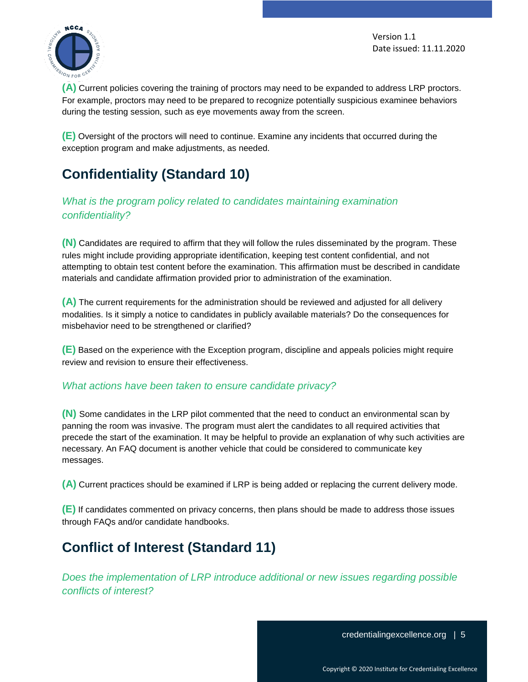

**(A)** Current policies covering the training of proctors may need to be expanded to address LRP proctors. For example, proctors may need to be prepared to recognize potentially suspicious examinee behaviors during the testing session, such as eye movements away from the screen.

**(E)** Oversight of the proctors will need to continue. Examine any incidents that occurred during the exception program and make adjustments, as needed.

# <span id="page-4-0"></span>**Confidentiality (Standard 10)**

*What is the program policy related to candidates maintaining examination confidentiality?* 

**(N)** Candidates are required to affirm that they will follow the rules disseminated by the program. These rules might include providing appropriate identification, keeping test content confidential, and not attempting to obtain test content before the examination. This affirmation must be described in candidate materials and candidate affirmation provided prior to administration of the examination.

**(A)** The current requirements for the administration should be reviewed and adjusted for all delivery modalities. Is it simply a notice to candidates in publicly available materials? Do the consequences for misbehavior need to be strengthened or clarified?

**(E)** Based on the experience with the Exception program, discipline and appeals policies might require review and revision to ensure their effectiveness.

## *What actions have been taken to ensure candidate privacy?*

**(N)** Some candidates in the LRP pilot commented that the need to conduct an environmental scan by panning the room was invasive. The program must alert the candidates to all required activities that precede the start of the examination. It may be helpful to provide an explanation of why such activities are necessary. An FAQ document is another vehicle that could be considered to communicate key messages.

**(A)** Current practices should be examined if LRP is being added or replacing the current delivery mode.

**(E)** If candidates commented on privacy concerns, then plans should be made to address those issues through FAQs and/or candidate handbooks.

# <span id="page-4-1"></span>**Conflict of Interest (Standard 11)**

*Does the implementation of LRP introduce additional or new issues regarding possible conflicts of interest?*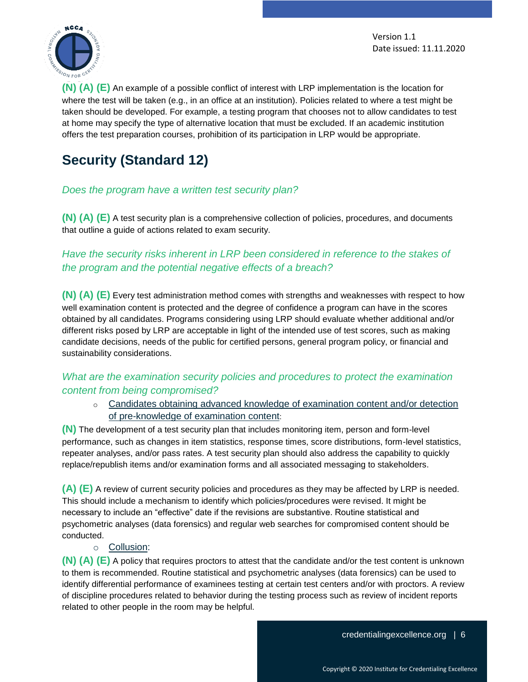

**(N) (A) (E)** An example of a possible conflict of interest with LRP implementation is the location for where the test will be taken (e.g., in an office at an institution). Policies related to where a test might be taken should be developed. For example, a testing program that chooses not to allow candidates to test at home may specify the type of alternative location that must be excluded. If an academic institution offers the test preparation courses, prohibition of its participation in LRP would be appropriate.

# <span id="page-5-0"></span>**Security (Standard 12)**

### *Does the program have a written test security plan?*

**(N) (A) (E)** A test security plan is a comprehensive collection of policies, procedures, and documents that outline a guide of actions related to exam security.

# *Have the security risks inherent in LRP been considered in reference to the stakes of the program and the potential negative effects of a breach?*

**(N) (A) (E)** Every test administration method comes with strengths and weaknesses with respect to how well examination content is protected and the degree of confidence a program can have in the scores obtained by all candidates. Programs considering using LRP should evaluate whether additional and/or different risks posed by LRP are acceptable in light of the intended use of test scores, such as making candidate decisions, needs of the public for certified persons, general program policy, or financial and sustainability considerations.

## *What are the examination security policies and procedures to protect the examination content from being compromised?*

o Candidates obtaining advanced knowledge of examination content and/or detection of pre-knowledge of examination content:

**(N)** The development of a test security plan that includes monitoring item, person and form-level performance, such as changes in item statistics, response times, score distributions, form-level statistics, repeater analyses, and/or pass rates. A test security plan should also address the capability to quickly replace/republish items and/or examination forms and all associated messaging to stakeholders.

**(A) (E)** A review of current security policies and procedures as they may be affected by LRP is needed. This should include a mechanism to identify which policies/procedures were revised. It might be necessary to include an "effective" date if the revisions are substantive. Routine statistical and psychometric analyses (data forensics) and regular web searches for compromised content should be conducted.

o Collusion:

**(N) (A) (E)** A policy that requires proctors to attest that the candidate and/or the test content is unknown to them is recommended. Routine statistical and psychometric analyses (data forensics) can be used to identify differential performance of examinees testing at certain test centers and/or with proctors. A review of discipline procedures related to behavior during the testing process such as review of incident reports related to other people in the room may be helpful.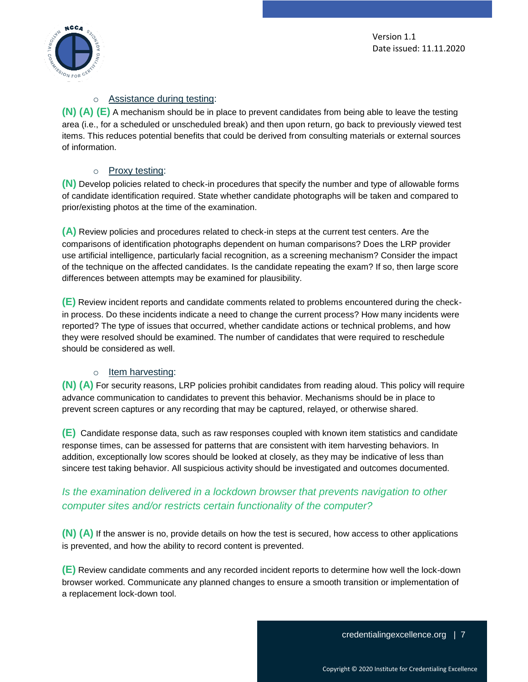

#### o Assistance during testing:

**(N) (A) (E)** A mechanism should be in place to prevent candidates from being able to leave the testing area (i.e., for a scheduled or unscheduled break) and then upon return, go back to previously viewed test items. This reduces potential benefits that could be derived from consulting materials or external sources of information.

#### o Proxy testing:

**(N)** Develop policies related to check-in procedures that specify the number and type of allowable forms of candidate identification required. State whether candidate photographs will be taken and compared to prior/existing photos at the time of the examination.

**(A)** Review policies and procedures related to check-in steps at the current test centers. Are the comparisons of identification photographs dependent on human comparisons? Does the LRP provider use artificial intelligence, particularly facial recognition, as a screening mechanism? Consider the impact of the technique on the affected candidates. Is the candidate repeating the exam? If so, then large score differences between attempts may be examined for plausibility.

**(E)** Review incident reports and candidate comments related to problems encountered during the checkin process. Do these incidents indicate a need to change the current process? How many incidents were reported? The type of issues that occurred, whether candidate actions or technical problems, and how they were resolved should be examined. The number of candidates that were required to reschedule should be considered as well.

#### o Item harvesting:

**(N) (A)** For security reasons, LRP policies prohibit candidates from reading aloud. This policy will require advance communication to candidates to prevent this behavior. Mechanisms should be in place to prevent screen captures or any recording that may be captured, relayed, or otherwise shared.

**(E)** Candidate response data, such as raw responses coupled with known item statistics and candidate response times, can be assessed for patterns that are consistent with item harvesting behaviors. In addition, exceptionally low scores should be looked at closely, as they may be indicative of less than sincere test taking behavior. All suspicious activity should be investigated and outcomes documented.

## *Is the examination delivered in a lockdown browser that prevents navigation to other computer sites and/or restricts certain functionality of the computer?*

**(N) (A)** If the answer is no, provide details on how the test is secured, how access to other applications is prevented, and how the ability to record content is prevented.

**(E)** Review candidate comments and any recorded incident reports to determine how well the lock-down browser worked. Communicate any planned changes to ensure a smooth transition or implementation of a replacement lock-down tool.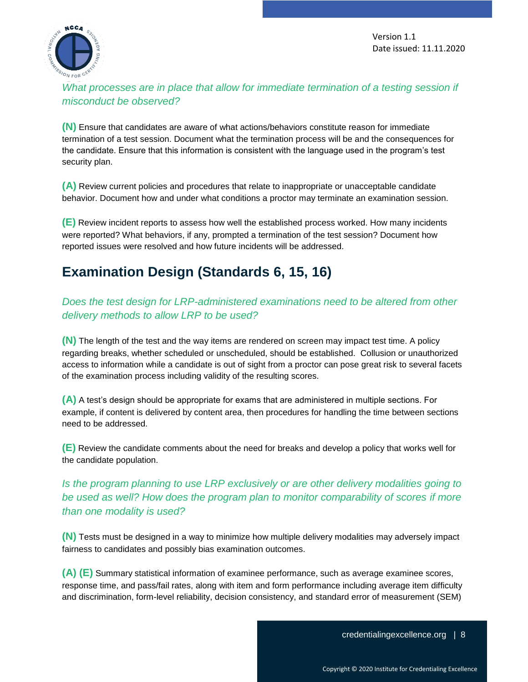

What processes are in place that allow for immediate termination of a testing session if *misconduct be observed?*

**(N)** Ensure that candidates are aware of what actions/behaviors constitute reason for immediate termination of a test session. Document what the termination process will be and the consequences for the candidate. Ensure that this information is consistent with the language used in the program's test security plan.

**(A)** Review current policies and procedures that relate to inappropriate or unacceptable candidate behavior. Document how and under what conditions a proctor may terminate an examination session.

**(E)** Review incident reports to assess how well the established process worked. How many incidents were reported? What behaviors, if any, prompted a termination of the test session? Document how reported issues were resolved and how future incidents will be addressed.

# <span id="page-7-0"></span>**Examination Design (Standards 6, 15, 16)**

*Does the test design for LRP-administered examinations need to be altered from other delivery methods to allow LRP to be used?*

**(N)** The length of the test and the way items are rendered on screen may impact test time. A policy regarding breaks, whether scheduled or unscheduled, should be established. Collusion or unauthorized access to information while a candidate is out of sight from a proctor can pose great risk to several facets of the examination process including validity of the resulting scores.

**(A)** A test's design should be appropriate for exams that are administered in multiple sections. For example, if content is delivered by content area, then procedures for handling the time between sections need to be addressed.

**(E)** Review the candidate comments about the need for breaks and develop a policy that works well for the candidate population.

# *Is the program planning to use LRP exclusively or are other delivery modalities going to be used as well? How does the program plan to monitor comparability of scores if more than one modality is used?*

**(N)** Tests must be designed in a way to minimize how multiple delivery modalities may adversely impact fairness to candidates and possibly bias examination outcomes.

**(A) (E)** Summary statistical information of examinee performance, such as average examinee scores, response time, and pass/fail rates, along with item and form performance including average item difficulty and discrimination, form-level reliability, decision consistency, and standard error of measurement (SEM)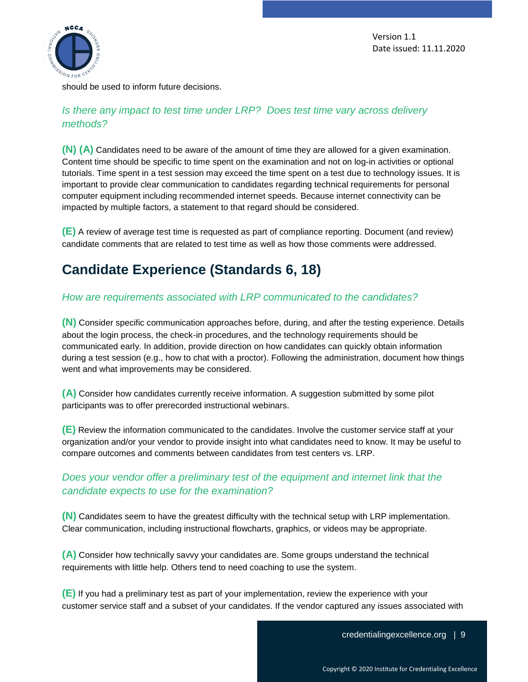

should be used to inform future decisions.

## *Is there any impact to test time under LRP? Does test time vary across delivery methods?*

**(N) (A)** Candidates need to be aware of the amount of time they are allowed for a given examination. Content time should be specific to time spent on the examination and not on log-in activities or optional tutorials. Time spent in a test session may exceed the time spent on a test due to technology issues. It is important to provide clear communication to candidates regarding technical requirements for personal computer equipment including recommended internet speeds. Because internet connectivity can be impacted by multiple factors, a statement to that regard should be considered.

**(E)** A review of average test time is requested as part of compliance reporting. Document (and review) candidate comments that are related to test time as well as how those comments were addressed.

# <span id="page-8-0"></span>**Candidate Experience (Standards 6, 18)**

## *How are requirements associated with LRP communicated to the candidates?*

**(N)** Consider specific communication approaches before, during, and after the testing experience. Details about the login process, the check-in procedures, and the technology requirements should be communicated early. In addition, provide direction on how candidates can quickly obtain information during a test session (e.g., how to chat with a proctor). Following the administration, document how things went and what improvements may be considered.

**(A)** Consider how candidates currently receive information. A suggestion submitted by some pilot participants was to offer prerecorded instructional webinars.

**(E)** Review the information communicated to the candidates. Involve the customer service staff at your organization and/or your vendor to provide insight into what candidates need to know. It may be useful to compare outcomes and comments between candidates from test centers vs. LRP.

# *Does your vendor offer a preliminary test of the equipment and internet link that the candidate expects to use for the examination?*

**(N)** Candidates seem to have the greatest difficulty with the technical setup with LRP implementation. Clear communication, including instructional flowcharts, graphics, or videos may be appropriate.

**(A)** Consider how technically savvy your candidates are. Some groups understand the technical requirements with little help. Others tend to need coaching to use the system.

**(E)** If you had a preliminary test as part of your implementation, review the experience with your customer service staff and a subset of your candidates. If the vendor captured any issues associated with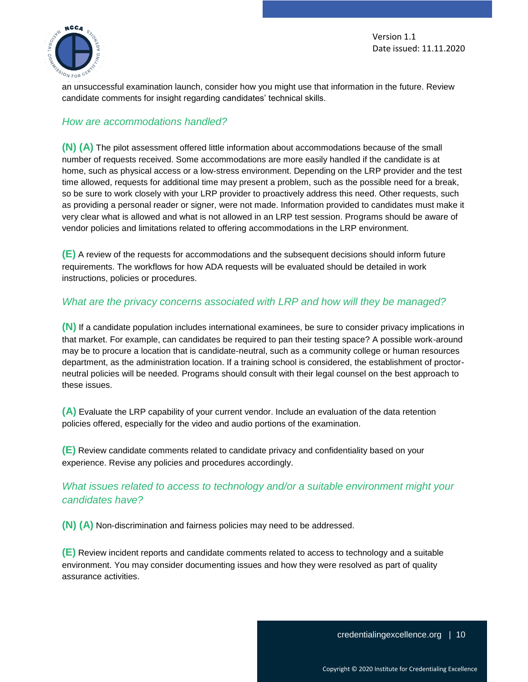

an unsuccessful examination launch, consider how you might use that information in the future. Review candidate comments for insight regarding candidates' technical skills.

#### *How are accommodations handled?*

**(N) (A)** The pilot assessment offered little information about accommodations because of the small number of requests received. Some accommodations are more easily handled if the candidate is at home, such as physical access or a low-stress environment. Depending on the LRP provider and the test time allowed, requests for additional time may present a problem, such as the possible need for a break, so be sure to work closely with your LRP provider to proactively address this need. Other requests, such as providing a personal reader or signer, were not made. Information provided to candidates must make it very clear what is allowed and what is not allowed in an LRP test session. Programs should be aware of vendor policies and limitations related to offering accommodations in the LRP environment.

**(E)** A review of the requests for accommodations and the subsequent decisions should inform future requirements. The workflows for how ADA requests will be evaluated should be detailed in work instructions, policies or procedures.

#### *What are the privacy concerns associated with LRP and how will they be managed?*

**(N)** If a candidate population includes international examinees, be sure to consider privacy implications in that market. For example, can candidates be required to pan their testing space? A possible work-around may be to procure a location that is candidate-neutral, such as a community college or human resources department, as the administration location. If a training school is considered, the establishment of proctorneutral policies will be needed. Programs should consult with their legal counsel on the best approach to these issues.

**(A)** Evaluate the LRP capability of your current vendor. Include an evaluation of the data retention policies offered, especially for the video and audio portions of the examination.

**(E)** Review candidate comments related to candidate privacy and confidentiality based on your experience. Revise any policies and procedures accordingly.

## *What issues related to access to technology and/or a suitable environment might your candidates have?*

**(N) (A)** Non-discrimination and fairness policies may need to be addressed.

**(E)** Review incident reports and candidate comments related to access to technology and a suitable environment. You may consider documenting issues and how they were resolved as part of quality assurance activities.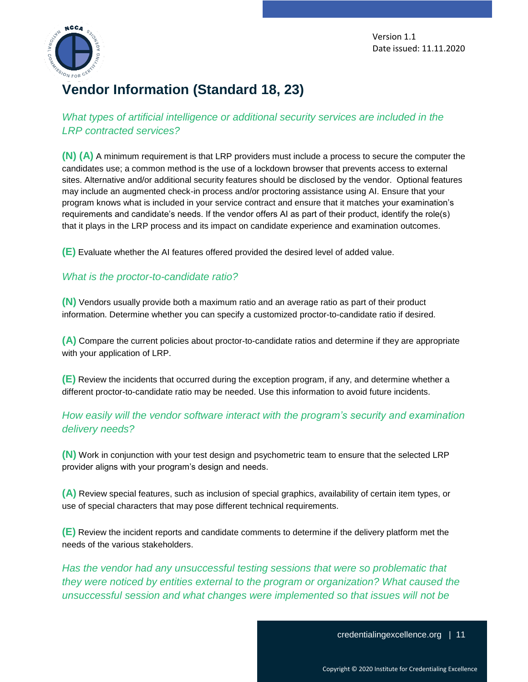

# <span id="page-10-0"></span>**Vendor Information (Standard 18, 23)**

*What types of artificial intelligence or additional security services are included in the LRP contracted services?*

**(N) (A)** A minimum requirement is that LRP providers must include a process to secure the computer the candidates use; a common method is the use of a lockdown browser that prevents access to external sites. Alternative and/or additional security features should be disclosed by the vendor. Optional features may include an augmented check-in process and/or proctoring assistance using AI. Ensure that your program knows what is included in your service contract and ensure that it matches your examination's requirements and candidate's needs. If the vendor offers AI as part of their product, identify the role(s) that it plays in the LRP process and its impact on candidate experience and examination outcomes.

**(E)** Evaluate whether the AI features offered provided the desired level of added value.

#### *What is the proctor-to-candidate ratio?*

**(N)** Vendors usually provide both a maximum ratio and an average ratio as part of their product information. Determine whether you can specify a customized proctor-to-candidate ratio if desired.

**(A)** Compare the current policies about proctor-to-candidate ratios and determine if they are appropriate with your application of LRP.

**(E)** Review the incidents that occurred during the exception program, if any, and determine whether a different proctor-to-candidate ratio may be needed. Use this information to avoid future incidents.

## *How easily will the vendor software interact with the program's security and examination delivery needs?*

**(N)** Work in conjunction with your test design and psychometric team to ensure that the selected LRP provider aligns with your program's design and needs.

**(A)** Review special features, such as inclusion of special graphics, availability of certain item types, or use of special characters that may pose different technical requirements.

**(E)** Review the incident reports and candidate comments to determine if the delivery platform met the needs of the various stakeholders.

*Has the vendor had any unsuccessful testing sessions that were so problematic that they were noticed by entities external to the program or organization? What caused the unsuccessful session and what changes were implemented so that issues will not be*